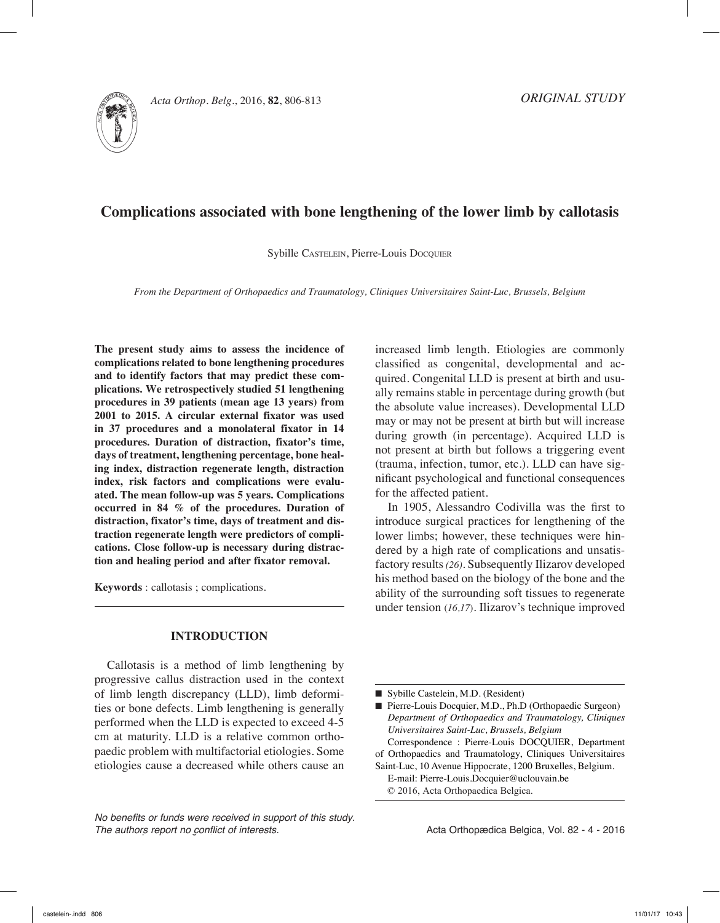

Acta Orthop. Belg., 2016, **82**, 806-813

# **Complications associated with bone lengthening of the lower limb by callotasis**

Sybille CASTELEIN, Pierre-Louis Docquier

*From the Department of Orthopaedics and Traumatology, Cliniques Universitaires Saint-Luc, Brussels, Belgium*

**The present study aims to assess the incidence of complications related to bone lengthening procedures and to identify factors that may predict these complications. We retrospectively studied 51 lengthening procedures in 39 patients (mean age 13 years) from 2001 to 2015. A circular external fixator was used in 37 procedures and a monolateral fixator in 14 procedures. Duration of distraction, fixator's time, days of treatment, lengthening percentage, bone healing index, distraction regenerate length, distraction index, risk factors and complications were evaluated. The mean follow-up was 5 years. Complications occurred in 84 % of the procedures. Duration of distraction, fixator's time, days of treatment and distraction regenerate length were predictors of complications. Close follow-up is necessary during distraction and healing period and after fixator removal.** 

**Keywords** : callotasis ; complications.

#### **INTRODUCTION**

Callotasis is a method of limb lengthening by progressive callus distraction used in the context of limb length discrepancy (LLD), limb deformities or bone defects. Limb lengthening is generally performed when the LLD is expected to exceed 4-5 cm at maturity. LLD is a relative common orthopaedic problem with multifactorial etiologies. Some etiologies cause a decreased while others cause an

*No benefits or funds were received in support of this study. The authors report no conflict of interests.* 

increased limb length. Etiologies are commonly classified as congenital, developmental and acquired. Congenital LLD is present at birth and usually remains stable in percentage during growth (but the absolute value increases). Developmental LLD may or may not be present at birth but will increase during growth (in percentage). Acquired LLD is not present at birth but follows a triggering event (trauma, infection, tumor, etc.). LLD can have significant psychological and functional consequences for the affected patient.

In 1905, Alessandro Codivilla was the first to introduce surgical practices for lengthening of the lower limbs; however, these techniques were hindered by a high rate of complications and unsatisfactory results *(26)*. Subsequently Ilizarov developed his method based on the biology of the bone and the ability of the surrounding soft tissues to regenerate under tension (*16,17*). Ilizarov's technique improved

■ Sybille Castelein, M.D. (Resident)

■ Pierre-Louis Docquier, M.D., Ph.D (Orthopaedic Surgeon) *Department of Orthopaedics and Traumatology, Cliniques Universitaires Saint-Luc, Brussels, Belgium*

Correspondence : Pierre-Louis DOCQUIER, Department of Orthopaedics and Traumatology, Cliniques Universitaires

Saint-Luc, 10 Avenue Hippocrate, 1200 Bruxelles, Belgium. E-mail: Pierre-Louis.Docquier@uclouvain.be © 2016, Acta Orthopaedica Belgica.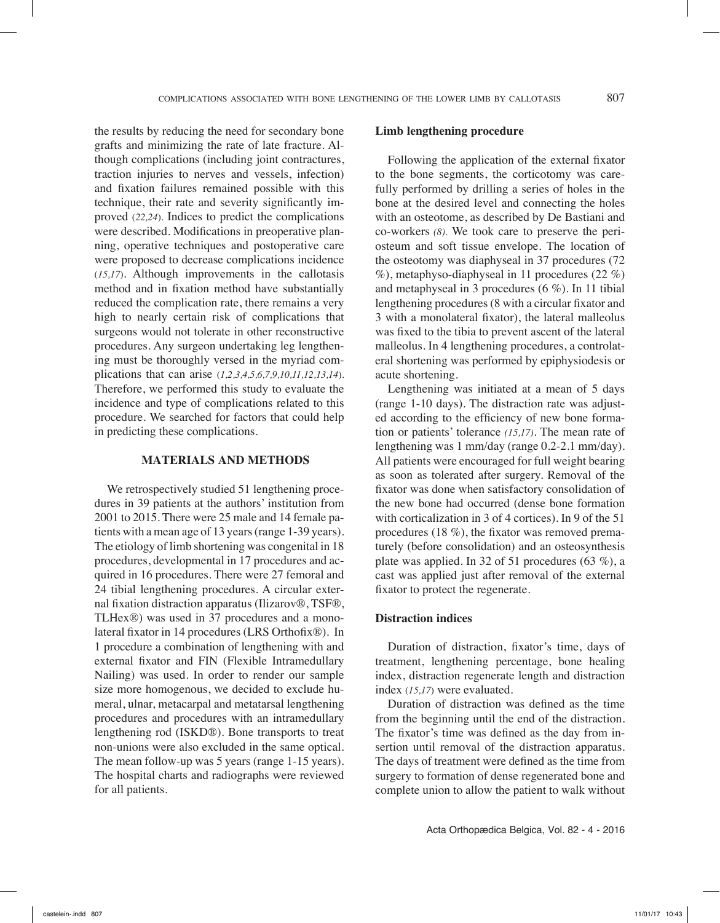the results by reducing the need for secondary bone grafts and minimizing the rate of late fracture. Although complications (including joint contractures, traction injuries to nerves and vessels, infection) and fixation failures remained possible with this technique, their rate and severity significantly improved (*22,24*). Indices to predict the complications were described. Modifications in preoperative planning, operative techniques and postoperative care were proposed to decrease complications incidence (*15,17*). Although improvements in the callotasis method and in fixation method have substantially reduced the complication rate, there remains a very high to nearly certain risk of complications that surgeons would not tolerate in other reconstructive procedures. Any surgeon undertaking leg lengthening must be thoroughly versed in the myriad complications that can arise (*1,2,3,4,5,6,7,9,10,11,12,13,14*). Therefore, we performed this study to evaluate the incidence and type of complications related to this procedure. We searched for factors that could help in predicting these complications.

## **MATERIALS AND METHODS**

We retrospectively studied 51 lengthening procedures in 39 patients at the authors' institution from 2001 to 2015. There were 25 male and 14 female patients with a mean age of 13 years (range 1-39 years). The etiology of limb shortening was congenital in 18 procedures, developmental in 17 procedures and acquired in 16 procedures. There were 27 femoral and 24 tibial lengthening procedures. A circular external fixation distraction apparatus (Ilizarov®, TSF®, TLHex®) was used in 37 procedures and a monolateral fixator in 14 procedures (LRS Orthofix®). In 1 procedure a combination of lengthening with and external fixator and FIN (Flexible Intramedullary Nailing) was used. In order to render our sample size more homogenous, we decided to exclude humeral, ulnar, metacarpal and metatarsal lengthening procedures and procedures with an intramedullary lengthening rod (ISKD®). Bone transports to treat non-unions were also excluded in the same optical. The mean follow-up was 5 years (range 1-15 years). The hospital charts and radiographs were reviewed for all patients.

## **Limb lengthening procedure**

Following the application of the external fixator to the bone segments, the corticotomy was carefully performed by drilling a series of holes in the bone at the desired level and connecting the holes with an osteotome, as described by De Bastiani and co-workers *(8).* We took care to preserve the periosteum and soft tissue envelope. The location of the osteotomy was diaphyseal in 37 procedures (72 %), metaphyso-diaphyseal in 11 procedures (22 %) and metaphyseal in 3 procedures (6 %). In 11 tibial lengthening procedures (8 with a circular fixator and 3 with a monolateral fixator), the lateral malleolus was fixed to the tibia to prevent ascent of the lateral malleolus. In 4 lengthening procedures, a controlateral shortening was performed by epiphysiodesis or acute shortening.

Lengthening was initiated at a mean of 5 days (range 1-10 days). The distraction rate was adjusted according to the efficiency of new bone formation or patients' tolerance *(15,17)*. The mean rate of lengthening was 1 mm/day (range 0.2-2.1 mm/day). All patients were encouraged for full weight bearing as soon as tolerated after surgery. Removal of the fixator was done when satisfactory consolidation of the new bone had occurred (dense bone formation with corticalization in 3 of 4 cortices). In 9 of the 51 procedures (18 %), the fixator was removed prematurely (before consolidation) and an osteosynthesis plate was applied. In 32 of 51 procedures (63 %), a cast was applied just after removal of the external fixator to protect the regenerate.

### **Distraction indices**

Duration of distraction, fixator's time, days of treatment, lengthening percentage, bone healing index, distraction regenerate length and distraction index (*15,17*) were evaluated.

Duration of distraction was defined as the time from the beginning until the end of the distraction. The fixator's time was defined as the day from insertion until removal of the distraction apparatus. The days of treatment were defined as the time from surgery to formation of dense regenerated bone and complete union to allow the patient to walk without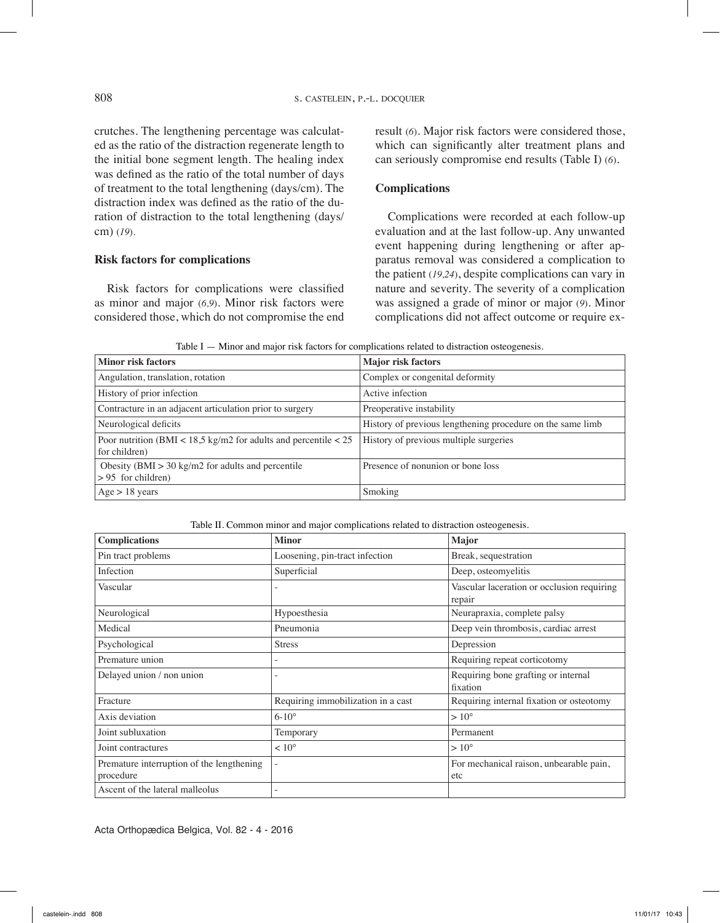crutches. The lengthening percentage was calculated as the ratio of the distraction regenerate length to the initial bone segment length. The healing index was defined as the ratio of the total number of days of treatment to the total lengthening (days/cm). The distraction index was defined as the ratio of the duration of distraction to the total lengthening (days/ cm) (*19*).

## **Risk factors for complications**

Risk factors for complications were classified as minor and major (*6,9*). Minor risk factors were considered those, which do not compromise the end result (*6*). Major risk factors were considered those, which can significantly alter treatment plans and can seriously compromise end results (Table I) (*6*).

## **Complications**

Complications were recorded at each follow-up evaluation and at the last follow-up. Any unwanted event happening during lengthening or after apparatus removal was considered a complication to the patient (*19,24*), despite complications can vary in nature and severity. The severity of a complication was assigned a grade of minor or major (*9*). Minor complications did not affect outcome or require ex-

Table I — Minor and major risk factors for complications related to distraction osteogenesis.

| <b>Minor risk factors</b>                                                                  | <b>Major</b> risk factors                                  |
|--------------------------------------------------------------------------------------------|------------------------------------------------------------|
| Angulation, translation, rotation                                                          | Complex or congenital deformity                            |
| History of prior infection                                                                 | Active infection                                           |
| Contracture in an adjacent articulation prior to surgery                                   | Preoperative instability                                   |
| Neurological deficits                                                                      | History of previous lengthening procedure on the same limb |
| Poor nutrition (BMI < $18,5 \text{ kg/m2}$ for adults and percentile < 25<br>for children) | History of previous multiple surgeries                     |
| Obesity (BMI $>$ 30 kg/m2 for adults and percentile<br>$> 95$ for children)                | Presence of nonunion or bone loss                          |
| $Age > 18 \text{ years}$                                                                   | Smoking                                                    |

Table II. Common minor and major complications related to distraction osteogenesis.

| <b>Complications</b>                                   | <b>Minor</b>                       | Major                                                |  |
|--------------------------------------------------------|------------------------------------|------------------------------------------------------|--|
| Pin tract problems                                     | Loosening, pin-tract infection     | Break, sequestration                                 |  |
| Infection                                              | Superficial                        | Deep, osteomyelitis                                  |  |
| Vascular                                               |                                    | Vascular laceration or occlusion requiring<br>repair |  |
| Neurological                                           | Hypoesthesia                       | Neurapraxia, complete palsy                          |  |
| Medical                                                | Pneumonia                          | Deep vein thrombosis, cardiac arrest                 |  |
| Psychological                                          | <b>Stress</b>                      | Depression                                           |  |
| Premature union                                        |                                    | Requiring repeat corticotomy                         |  |
| Delayed union / non union                              |                                    | Requiring bone grafting or internal<br>fixation      |  |
| Fracture                                               | Requiring immobilization in a cast | Requiring internal fixation or osteotomy             |  |
| Axis deviation                                         | $6 - 10^{\circ}$                   | $>10^{\circ}$                                        |  |
| Joint subluxation                                      | Temporary                          | Permanent                                            |  |
| Joint contractures                                     | $< 10^{\circ}$                     | $>10^{\circ}$                                        |  |
| Premature interruption of the lengthening<br>procedure |                                    | For mechanical raison, unbearable pain,<br>etc       |  |
| Ascent of the lateral malleolus                        |                                    |                                                      |  |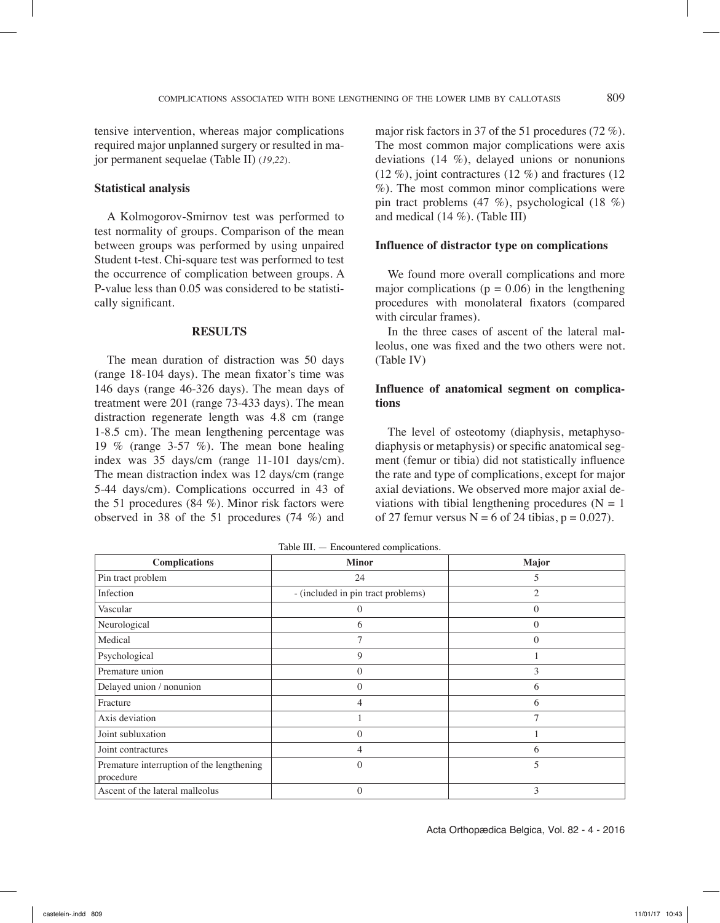tensive intervention, whereas major complications required major unplanned surgery or resulted in major permanent sequelae (Table II) (*19,22*).

## **Statistical analysis**

A Kolmogorov-Smirnov test was performed to test normality of groups. Comparison of the mean between groups was performed by using unpaired Student t-test. Chi-square test was performed to test the occurrence of complication between groups. A P-value less than 0.05 was considered to be statistically significant.

#### **RESULTS**

The mean duration of distraction was 50 days (range 18-104 days). The mean fixator's time was 146 days (range 46-326 days). The mean days of treatment were 201 (range 73-433 days). The mean distraction regenerate length was 4.8 cm (range 1-8.5 cm). The mean lengthening percentage was 19 % (range 3-57 %). The mean bone healing index was 35 days/cm (range 11-101 days/cm). The mean distraction index was 12 days/cm (range 5-44 days/cm). Complications occurred in 43 of the 51 procedures (84 %). Minor risk factors were observed in 38 of the 51 procedures (74 %) and

major risk factors in 37 of the 51 procedures (72 %). The most common major complications were axis deviations (14 %), delayed unions or nonunions (12 %), joint contractures (12 %) and fractures (12 %). The most common minor complications were pin tract problems (47 %), psychological (18 %) and medical (14 %). (Table III)

#### **Influence of distractor type on complications**

We found more overall complications and more major complications ( $p = 0.06$ ) in the lengthening procedures with monolateral fixators (compared with circular frames).

In the three cases of ascent of the lateral malleolus, one was fixed and the two others were not. (Table IV)

## **Influence of anatomical segment on complications**

The level of osteotomy (diaphysis, metaphysodiaphysis or metaphysis) or specific anatomical segment (femur or tibia) did not statistically influence the rate and type of complications, except for major axial deviations. We observed more major axial deviations with tibial lengthening procedures ( $N = 1$ ) of 27 femur versus  $N = 6$  of 24 tibias,  $p = 0.027$ .

| <b>Complications</b>                                   | <b>Minor</b>                       | Major          |
|--------------------------------------------------------|------------------------------------|----------------|
| Pin tract problem                                      | 24                                 | 5              |
| Infection                                              | - (included in pin tract problems) | 2              |
| Vascular                                               | 0                                  | $\mathbf{0}$   |
| Neurological                                           | 6                                  | $\overline{0}$ |
| Medical                                                | 7                                  | $\mathbf{0}$   |
| Psychological                                          | 9                                  |                |
| Premature union                                        | 0                                  | 3              |
| Delayed union / nonunion                               | 0                                  | 6              |
| Fracture                                               | 4                                  | 6              |
| Axis deviation                                         |                                    | 7              |
| Joint subluxation                                      | 0                                  |                |
| Joint contractures                                     | 4                                  | 6              |
| Premature interruption of the lengthening<br>procedure | 0                                  | 5              |
| Ascent of the lateral malleolus                        | 0                                  | 3              |

Table III. — Encountered complications.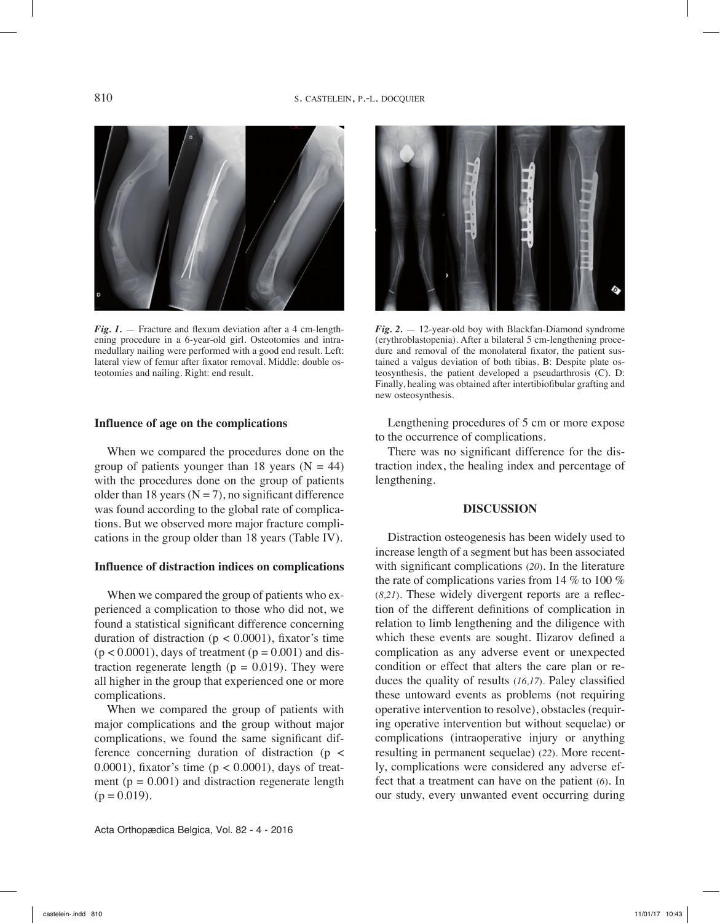

*Fig. 1.* — Fracture and flexum deviation after a 4 cm-lengthening procedure in a 6-year-old girl. Osteotomies and intramedullary nailing were performed with a good end result. Left: lateral view of femur after fixator removal. Middle: double osteotomies and nailing. Right: end result.

### **Influence of age on the complications**

When we compared the procedures done on the group of patients younger than 18 years  $(N = 44)$ with the procedures done on the group of patients older than 18 years ( $N = 7$ ), no significant difference was found according to the global rate of complications. But we observed more major fracture complications in the group older than 18 years (Table IV).

## **Influence of distraction indices on complications**

When we compared the group of patients who experienced a complication to those who did not, we found a statistical significant difference concerning duration of distraction ( $p < 0.0001$ ), fixator's time  $(p < 0.0001)$ , days of treatment  $(p = 0.001)$  and distraction regenerate length ( $p = 0.019$ ). They were all higher in the group that experienced one or more complications.

When we compared the group of patients with major complications and the group without major complications, we found the same significant difference concerning duration of distraction (p < 0.0001), fixator's time  $(p < 0.0001)$ , days of treatment ( $p = 0.001$ ) and distraction regenerate length  $(p = 0.019)$ .





*Fig. 2.* — 12-year-old boy with Blackfan-Diamond syndrome (erythroblastopenia). After a bilateral 5 cm-lengthening procedure and removal of the monolateral fixator, the patient sustained a valgus deviation of both tibias. B: Despite plate osteosynthesis, the patient developed a pseudarthrosis (C). D: Finally, healing was obtained after intertibiofibular grafting and new osteosynthesis.

Lengthening procedures of 5 cm or more expose to the occurrence of complications.

There was no significant difference for the distraction index, the healing index and percentage of lengthening.

#### **DISCUSSION**

Distraction osteogenesis has been widely used to increase length of a segment but has been associated with significant complications (*20*). In the literature the rate of complications varies from 14 % to 100 % (*8,21*). These widely divergent reports are a reflection of the different definitions of complication in relation to limb lengthening and the diligence with which these events are sought. Ilizarov defined a complication as any adverse event or unexpected condition or effect that alters the care plan or reduces the quality of results (*16,17*). Paley classified these untoward events as problems (not requiring operative intervention to resolve), obstacles (requiring operative intervention but without sequelae) or complications (intraoperative injury or anything resulting in permanent sequelae) (*22*). More recently, complications were considered any adverse effect that a treatment can have on the patient (*6*). In our study, every unwanted event occurring during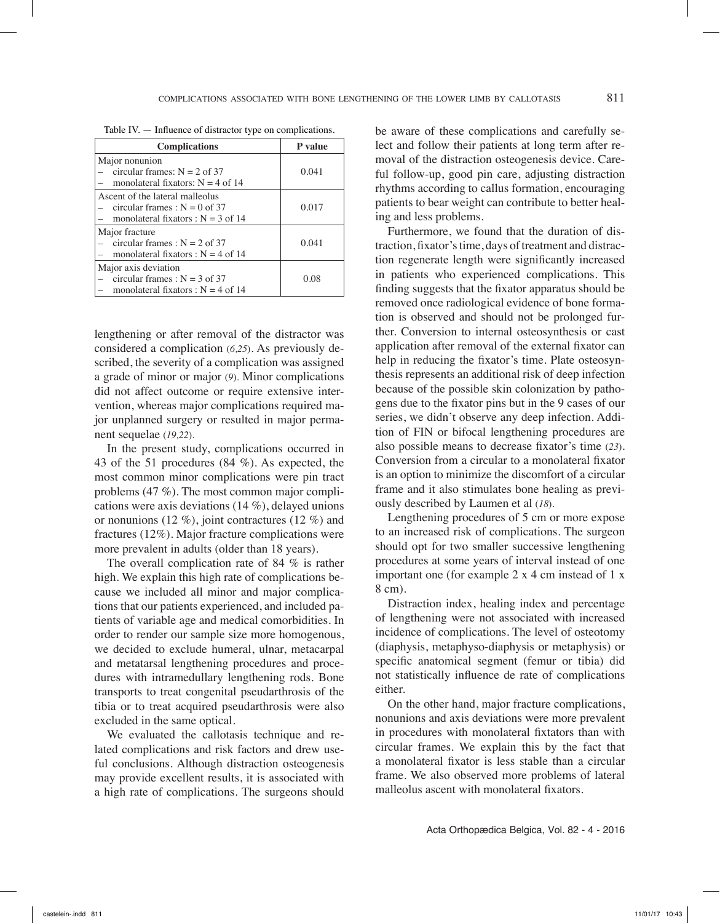| <b>Complications</b>                                                                                       | P value |  |
|------------------------------------------------------------------------------------------------------------|---------|--|
| Major nonunion<br>circular frames: $N = 2$ of 37<br>monolateral fixators: $N = 4$ of 14                    | 0.041   |  |
| Ascent of the lateral malleolus<br>circular frames : $N = 0$ of 37<br>monolateral fixators : $N = 3$ of 14 | 0.017   |  |
| Major fracture<br>circular frames : $N = 2$ of 37<br>monolateral fixators : $N = 4$ of 14                  | 0.041   |  |
| Major axis deviation<br>circular frames : $N = 3$ of 37<br>monolateral fixators : $N = 4$ of 14            | 0.08    |  |

Table IV. — Influence of distractor type on complications.

lengthening or after removal of the distractor was considered a complication (*6,25*). As previously described, the severity of a complication was assigned a grade of minor or major (*9*). Minor complications did not affect outcome or require extensive intervention, whereas major complications required major unplanned surgery or resulted in major permanent sequelae (*19,22*).

In the present study, complications occurred in 43 of the 51 procedures (84 %). As expected, the most common minor complications were pin tract problems (47 %). The most common major complications were axis deviations (14 %), delayed unions or nonunions (12 %), joint contractures (12 %) and fractures (12%). Major fracture complications were more prevalent in adults (older than 18 years).

The overall complication rate of 84 % is rather high. We explain this high rate of complications because we included all minor and major complications that our patients experienced, and included patients of variable age and medical comorbidities. In order to render our sample size more homogenous, we decided to exclude humeral, ulnar, metacarpal and metatarsal lengthening procedures and procedures with intramedullary lengthening rods. Bone transports to treat congenital pseudarthrosis of the tibia or to treat acquired pseudarthrosis were also excluded in the same optical.

We evaluated the callotasis technique and related complications and risk factors and drew useful conclusions. Although distraction osteogenesis may provide excellent results, it is associated with a high rate of complications. The surgeons should

be aware of these complications and carefully select and follow their patients at long term after removal of the distraction osteogenesis device. Careful follow-up, good pin care, adjusting distraction rhythms according to callus formation, encouraging patients to bear weight can contribute to better healing and less problems.

Furthermore, we found that the duration of distraction, fixator's time, days of treatment and distraction regenerate length were significantly increased in patients who experienced complications. This finding suggests that the fixator apparatus should be removed once radiological evidence of bone formation is observed and should not be prolonged further. Conversion to internal osteosynthesis or cast application after removal of the external fixator can help in reducing the fixator's time. Plate osteosynthesis represents an additional risk of deep infection because of the possible skin colonization by pathogens due to the fixator pins but in the 9 cases of our series, we didn't observe any deep infection. Addition of FIN or bifocal lengthening procedures are also possible means to decrease fixator's time (*23*). Conversion from a circular to a monolateral fixator is an option to minimize the discomfort of a circular frame and it also stimulates bone healing as previously described by Laumen et al (*18*).

Lengthening procedures of 5 cm or more expose to an increased risk of complications. The surgeon should opt for two smaller successive lengthening procedures at some years of interval instead of one important one (for example 2 x 4 cm instead of 1 x 8 cm).

Distraction index, healing index and percentage of lengthening were not associated with increased incidence of complications. The level of osteotomy (diaphysis, metaphyso-diaphysis or metaphysis) or specific anatomical segment (femur or tibia) did not statistically influence de rate of complications either.

On the other hand, major fracture complications, nonunions and axis deviations were more prevalent in procedures with monolateral fixtators than with circular frames. We explain this by the fact that a monolateral fixator is less stable than a circular frame. We also observed more problems of lateral malleolus ascent with monolateral fixators.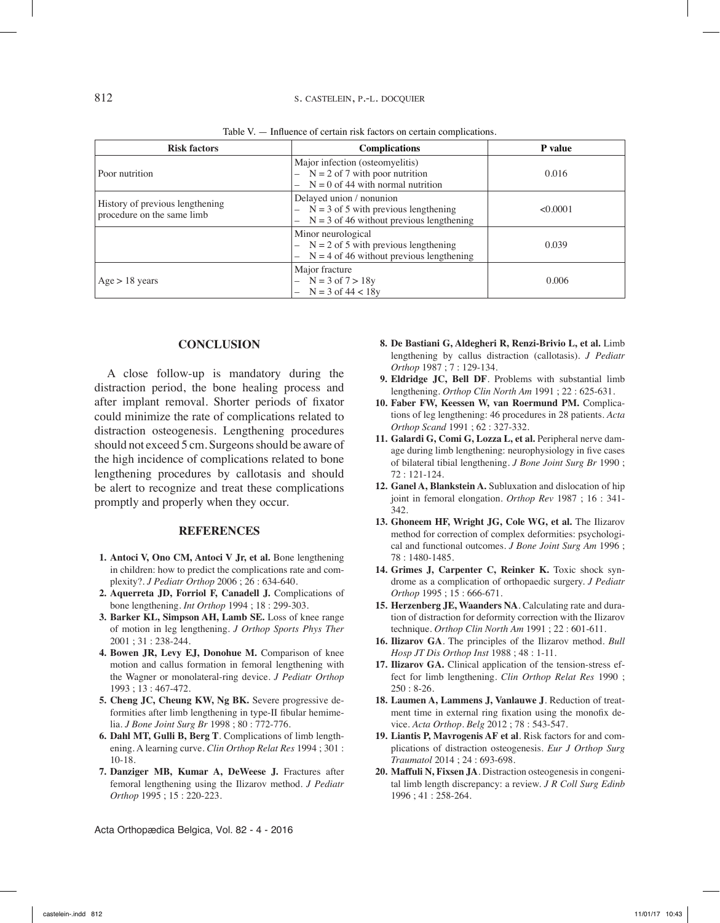| <b>Risk factors</b>                                           | <b>Complications</b>                                                                                                                           | P value  |
|---------------------------------------------------------------|------------------------------------------------------------------------------------------------------------------------------------------------|----------|
| Poor nutrition                                                | Major infection (osteomyelitis)<br>$- N = 2 of 7 with poor nutrition$<br>$N = 0$ of 44 with normal nutrition                                   | 0.016    |
| History of previous lengthening<br>procedure on the same limb | Delayed union / nonunion<br>$- N = 3$ of 5 with previous lengthening<br>$N = 3$ of 46 without previous lengthening<br>$\overline{\phantom{0}}$ | < 0.0001 |
|                                                               | Minor neurological<br>$- N = 2$ of 5 with previous lengthening<br>$N = 4$ of 46 without previous lengthening<br>$\overline{\phantom{0}}$       | 0.039    |
| $Age > 18$ years                                              | Major fracture<br>$N = 3$ of $7 > 18y$<br>$N = 3$ of $44 < 18y$                                                                                | 0.006    |

Table V. — Influence of certain risk factors on certain complications.

## **Conclusion**

A close follow-up is mandatory during the distraction period, the bone healing process and after implant removal. Shorter periods of fixator could minimize the rate of complications related to distraction osteogenesis. Lengthening procedures should not exceed 5 cm. Surgeons should be aware of the high incidence of complications related to bone lengthening procedures by callotasis and should be alert to recognize and treat these complications promptly and properly when they occur.

#### **REFERENCES**

- **1. Antoci V, Ono CM, Antoci V Jr, et al.** Bone lengthening in children: how to predict the complications rate and complexity?. *J Pediatr Orthop* 2006 ; 26 : 634-640.
- **2. Aquerreta JD, Forriol F, Canadell J.** Complications of bone lengthening. *Int Orthop* 1994 ; 18 : 299-303.
- **3. Barker KL, Simpson AH, Lamb SE.** Loss of knee range of motion in leg lengthening. *J Orthop Sports Phys Ther*  2001 ; 31 : 238-244.
- **4. Bowen JR, Levy EJ, Donohue M.** Comparison of knee motion and callus formation in femoral lengthening with the Wagner or monolateral-ring device. *J Pediatr Orthop*  1993 ; 13 : 467-472.
- **5. Cheng JC, Cheung KW, Ng BK.** Severe progressive deformities after limb lengthening in type-II fibular hemimelia. *J Bone Joint Surg Br* 1998 ; 80 : 772-776.
- **6. Dahl MT, Gulli B, Berg T**. Complications of limb lengthening. A learning curve. *Clin Orthop Relat Res* 1994 ; 301 : 10-18.
- **7. Danziger MB, Kumar A, DeWeese J.** Fractures after femoral lengthening using the Ilizarov method. *J Pediatr Orthop* 1995 ; 15 : 220-223.

- **8. De Bastiani G, Aldegheri R, Renzi-Brivio L, et al.** Limb lengthening by callus distraction (callotasis). *J Pediatr Orthop* 1987 ; 7 : 129-134.
- **9. Eldridge JC, Bell DF**. Problems with substantial limb lengthening. *Orthop Clin North Am* 1991 ; 22 : 625-631.
- **10. Faber FW, Keessen W, van Roermund PM.** Complications of leg lengthening: 46 procedures in 28 patients. *Acta Orthop Scand* 1991 ; 62 : 327-332.
- **11. Galardi G, Comi G, Lozza L, et al.** Peripheral nerve damage during limb lengthening: neurophysiology in five cases of bilateral tibial lengthening. *J Bone Joint Surg Br* 1990 ; 72 : 121-124.
- **12. Ganel A, Blankstein A.** Subluxation and dislocation of hip joint in femoral elongation. *Orthop Rev* 1987 ; 16 : 341- 342.
- 13. Ghoneem HF, Wright JG, Cole WG, et al. The Ilizarov method for correction of complex deformities: psychological and functional outcomes. *J Bone Joint Surg Am* 1996 ; 78 : 1480-1485.
- 14. Grimes J, Carpenter C, Reinker K. Toxic shock syndrome as a complication of orthopaedic surgery. *J Pediatr Orthop* 1995 ; 15 : 666-671.
- **15. Herzenberg JE, Waanders NA**. Calculating rate and duration of distraction for deformity correction with the Ilizarov technique. *Orthop Clin North Am* 1991 ; 22 : 601-611.
- **16. Ilizarov GA**. The principles of the Ilizarov method. *Bull Hosp JT Dis Orthop Inst* 1988 ; 48 : 1-11.
- **17. Ilizarov GA.** Clinical application of the tension-stress effect for limb lengthening*. Clin Orthop Relat Res* 1990 ; 250 : 8-26.
- **18. Laumen A, Lammens J, Vanlauwe J**. Reduction of treatment time in external ring fixation using the monofix device. *Acta Orthop. Belg* 2012 ; 78 : 543-547.
- **19. Liantis P, Mavrogenis AF et al**. Risk factors for and complications of distraction osteogenesis*. Eur J Orthop Surg Traumatol* 2014 ; 24 : 693-698.
- **20. Maffuli N, Fixsen JA**. Distraction osteogenesis in congenital limb length discrepancy: a review. *J R Coll Surg Edinb* 1996 ; 41 : 258-264.